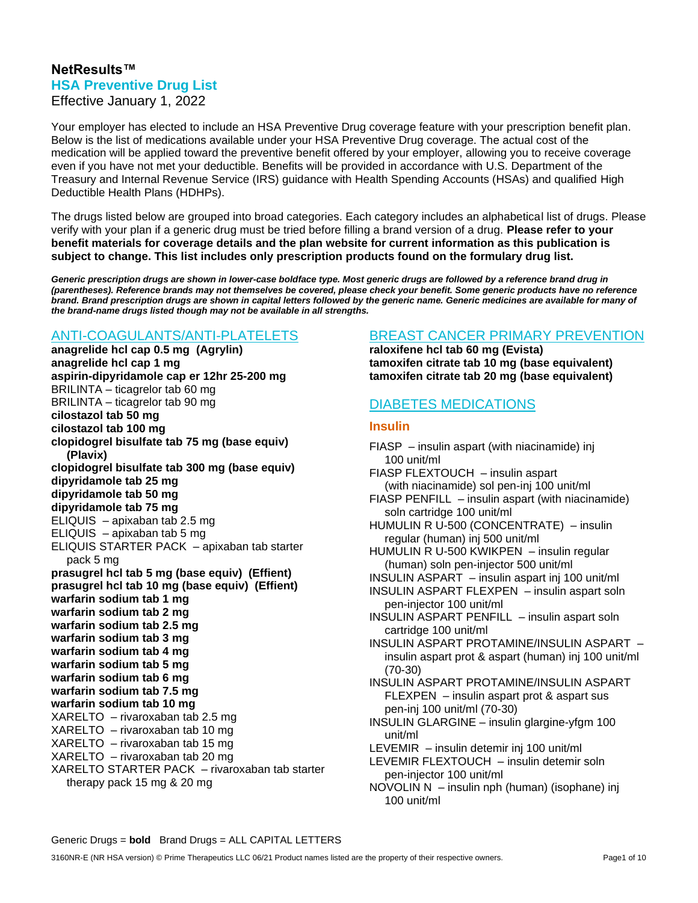### **NetResults™ HSA Preventive Drug List** Effective January 1, 2022

Your employer has elected to include an HSA Preventive Drug coverage feature with your prescription benefit plan. Below is the list of medications available under your HSA Preventive Drug coverage. The actual cost of the medication will be applied toward the preventive benefit offered by your employer, allowing you to receive coverage even if you have not met your deductible. Benefits will be provided in accordance with U.S. Department of the Treasury and Internal Revenue Service (IRS) guidance with Health Spending Accounts (HSAs) and qualified High Deductible Health Plans (HDHPs).

The drugs listed below are grouped into broad categories. Each category includes an alphabetical list of drugs. Please verify with your plan if a generic drug must be tried before filling a brand version of a drug. **Please refer to your benefit materials for coverage details and the plan website for current information as this publication is subject to change. This list includes only prescription products found on the formulary drug list.**

*Generic prescription drugs are shown in lower-case boldface type. Most generic drugs are followed by a reference brand drug in (parentheses). Reference brands may not themselves be covered, please check your benefit. Some generic products have no reference brand. Brand prescription drugs are shown in capital letters followed by the generic name. Generic medicines are available for many of the brand-name drugs listed though may not be available in all strengths.*

### ANTI-COAGULANTS/ANTI-PLATELETS

**anagrelide hcl cap 0.5 mg (Agrylin) anagrelide hcl cap 1 mg aspirin-dipyridamole cap er 12hr 25-200 mg** BRILINTA – ticagrelor tab 60 mg BRILINTA – ticagrelor tab 90 mg **cilostazol tab 50 mg cilostazol tab 100 mg clopidogrel bisulfate tab 75 mg (base equiv) (Plavix) clopidogrel bisulfate tab 300 mg (base equiv) dipyridamole tab 25 mg dipyridamole tab 50 mg dipyridamole tab 75 mg** ELIQUIS – apixaban tab 2.5 mg ELIQUIS – apixaban tab 5 mg ELIQUIS STARTER PACK – apixaban tab starter pack 5 mg **prasugrel hcl tab 5 mg (base equiv) (Effient) prasugrel hcl tab 10 mg (base equiv) (Effient) warfarin sodium tab 1 mg warfarin sodium tab 2 mg warfarin sodium tab 2.5 mg warfarin sodium tab 3 mg warfarin sodium tab 4 mg warfarin sodium tab 5 mg warfarin sodium tab 6 mg warfarin sodium tab 7.5 mg warfarin sodium tab 10 mg**  XARELTO – rivaroxaban tab 2.5 mg XARELTO – rivaroxaban tab 10 mg XARELTO – rivaroxaban tab 15 mg XARELTO – rivaroxaban tab 20 mg XARELTO STARTER PACK – rivaroxaban tab starter therapy pack 15 mg & 20 mg

## BREAST CANCER PRIMARY PREVENTION

**raloxifene hcl tab 60 mg (Evista) tamoxifen citrate tab 10 mg (base equivalent) tamoxifen citrate tab 20 mg (base equivalent)** 

# DIABETES MEDICATIONS

### **Insulin**

100 unit/ml

FIASP – insulin aspart (with niacinamide) inj 100 unit/ml FIASP FLEXTOUCH – insulin aspart (with niacinamide) sol pen-inj 100 unit/ml FIASP PENFILL – insulin aspart (with niacinamide) soln cartridge 100 unit/ml HUMULIN R U-500 (CONCENTRATE) – insulin regular (human) inj 500 unit/ml HUMULIN R U-500 KWIKPEN – insulin regular (human) soln pen-injector 500 unit/ml INSULIN ASPART – insulin aspart inj 100 unit/ml INSULIN ASPART FLEXPEN – insulin aspart soln pen-injector 100 unit/ml INSULIN ASPART PENFILL – insulin aspart soln cartridge 100 unit/ml INSULIN ASPART PROTAMINE/INSULIN ASPART – insulin aspart prot & aspart (human) inj 100 unit/ml (70-30) INSULIN ASPART PROTAMINE/INSULIN ASPART FLEXPEN – insulin aspart prot & aspart sus pen-inj 100 unit/ml (70-30) INSULIN GLARGINE – insulin glargine-yfgm 100 unit/ml LEVEMIR – insulin detemir inj 100 unit/ml LEVEMIR FLEXTOUCH – insulin detemir soln pen-injector 100 unit/ml NOVOLIN N – insulin nph (human) (isophane) inj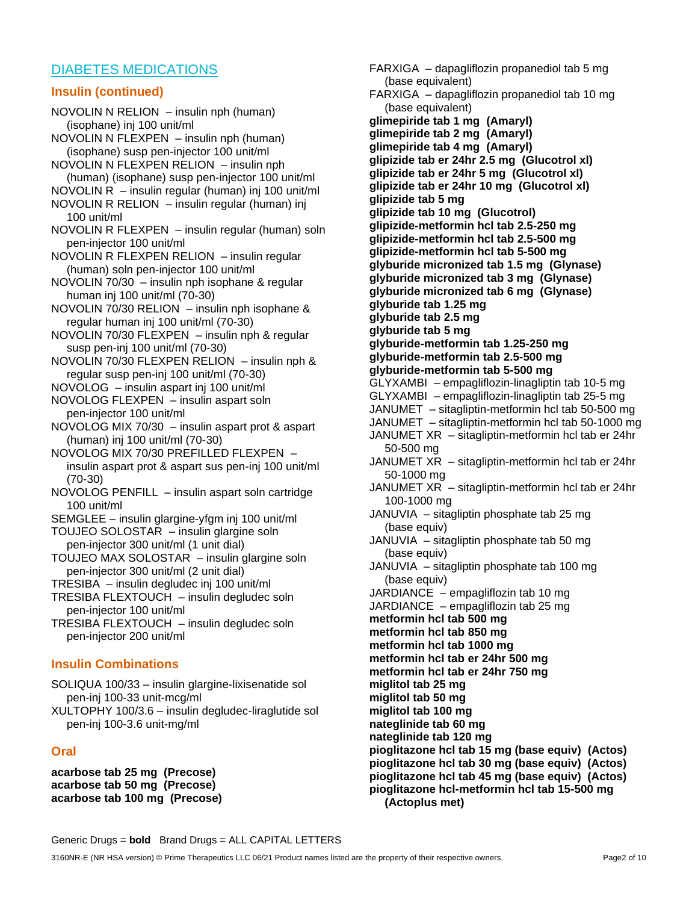## DIABETES MEDICATIONS

#### **Insulin (continued)**

NOVOLIN N RELION – insulin nph (human) (isophane) inj 100 unit/ml NOVOLIN N FLEXPEN – insulin nph (human) (isophane) susp pen-injector 100 unit/ml NOVOLIN N FLEXPEN RELION – insulin nph (human) (isophane) susp pen-injector 100 unit/ml NOVOLIN R – insulin regular (human) inj 100 unit/ml NOVOLIN R RELION – insulin regular (human) inj 100 unit/ml NOVOLIN R FLEXPEN – insulin regular (human) soln pen-injector 100 unit/ml NOVOLIN R FLEXPEN RELION – insulin regular (human) soln pen-injector 100 unit/ml NOVOLIN 70/30 – insulin nph isophane & regular human inj 100 unit/ml (70-30) NOVOLIN 70/30 RELION – insulin nph isophane & regular human inj 100 unit/ml (70-30) NOVOLIN 70/30 FLEXPEN – insulin nph & regular susp pen-inj 100 unit/ml (70-30) NOVOLIN 70/30 FLEXPEN RELION – insulin nph & regular susp pen-inj 100 unit/ml (70-30) NOVOLOG – insulin aspart inj 100 unit/ml NOVOLOG FLEXPEN – insulin aspart soln pen-injector 100 unit/ml NOVOLOG MIX 70/30 – insulin aspart prot & aspart (human) inj 100 unit/ml (70-30) NOVOLOG MIX 70/30 PREFILLED FLEXPEN – insulin aspart prot & aspart sus pen-inj 100 unit/ml (70-30) NOVOLOG PENFILL – insulin aspart soln cartridge 100 unit/ml SEMGLEE – insulin glargine-yfgm inj 100 unit/ml TOUJEO SOLOSTAR – insulin glargine soln pen-injector 300 unit/ml (1 unit dial) TOUJEO MAX SOLOSTAR – insulin glargine soln pen-injector 300 unit/ml (2 unit dial) TRESIBA – insulin degludec inj 100 unit/ml TRESIBA FLEXTOUCH – insulin degludec soln pen-injector 100 unit/ml TRESIBA FLEXTOUCH – insulin degludec soln pen-injector 200 unit/ml **Insulin Combinations** SOLIQUA 100/33 – insulin glargine-lixisenatide sol pen-inj 100-33 unit-mcg/ml XULTOPHY 100/3.6 – insulin degludec-liraglutide sol pen-inj 100-3.6 unit-mg/ml

### **Oral**

**acarbose tab 25 mg (Precose) acarbose tab 50 mg (Precose) acarbose tab 100 mg (Precose)**

FARXIGA – dapagliflozin propanediol tab 5 mg (base equivalent) FARXIGA – dapagliflozin propanediol tab 10 mg (base equivalent) **glimepiride tab 1 mg (Amaryl) glimepiride tab 2 mg (Amaryl) glimepiride tab 4 mg (Amaryl) glipizide tab er 24hr 2.5 mg (Glucotrol xl) glipizide tab er 24hr 5 mg (Glucotrol xl) glipizide tab er 24hr 10 mg (Glucotrol xl) glipizide tab 5 mg glipizide tab 10 mg (Glucotrol) glipizide-metformin hcl tab 2.5-250 mg glipizide-metformin hcl tab 2.5-500 mg glipizide-metformin hcl tab 5-500 mg glyburide micronized tab 1.5 mg (Glynase) glyburide micronized tab 3 mg (Glynase) glyburide micronized tab 6 mg (Glynase) glyburide tab 1.25 mg glyburide tab 2.5 mg glyburide tab 5 mg glyburide-metformin tab 1.25-250 mg glyburide-metformin tab 2.5-500 mg glyburide-metformin tab 5-500 mg** GLYXAMBI – empagliflozin-linagliptin tab 10-5 mg GLYXAMBI – empagliflozin-linagliptin tab 25-5 mg JANUMET – sitagliptin-metformin hcl tab 50-500 mg JANUMET – sitagliptin-metformin hcl tab 50-1000 mg JANUMET XR – sitagliptin-metformin hcl tab er 24hr 50-500 mg JANUMET XR – sitagliptin-metformin hcl tab er 24hr 50-1000 mg JANUMET XR – sitagliptin-metformin hcl tab er 24hr 100-1000 mg JANUVIA – sitagliptin phosphate tab 25 mg (base equiv) JANUVIA – sitagliptin phosphate tab 50 mg (base equiv) JANUVIA – sitagliptin phosphate tab 100 mg (base equiv) JARDIANCE – empagliflozin tab 10 mg JARDIANCE – empagliflozin tab 25 mg **metformin hcl tab 500 mg metformin hcl tab 850 mg metformin hcl tab 1000 mg metformin hcl tab er 24hr 500 mg metformin hcl tab er 24hr 750 mg miglitol tab 25 mg miglitol tab 50 mg miglitol tab 100 mg nateglinide tab 60 mg nateglinide tab 120 mg pioglitazone hcl tab 15 mg (base equiv) (Actos) pioglitazone hcl tab 30 mg (base equiv) (Actos) pioglitazone hcl tab 45 mg (base equiv) (Actos) pioglitazone hcl-metformin hcl tab 15-500 mg (Actoplus met)**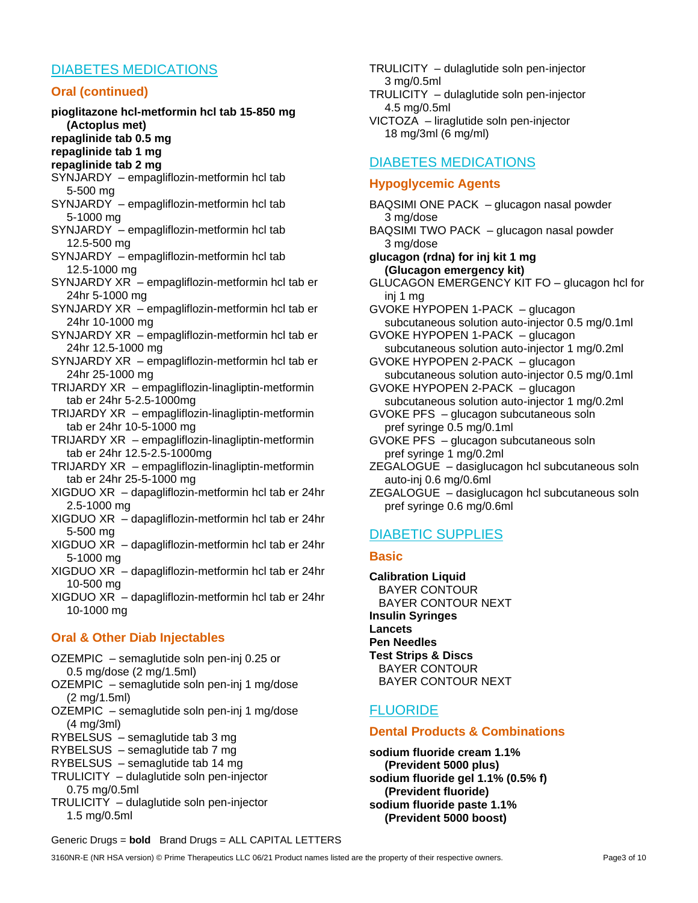## DIABETES MEDICATIONS

### **Oral (continued)**

- **pioglitazone hcl-metformin hcl tab 15-850 mg (Actoplus met)**
- **repaglinide tab 0.5 mg**
- **repaglinide tab 1 mg**
- **repaglinide tab 2 mg**
- SYNJARDY empagliflozin-metformin hcl tab 5-500 mg
- SYNJARDY empagliflozin-metformin hcl tab 5-1000 mg
- SYNJARDY empagliflozin-metformin hcl tab 12.5-500 mg
- SYNJARDY empagliflozin-metformin hcl tab 12.5-1000 mg
- SYNJARDY XR empagliflozin-metformin hcl tab er 24hr 5-1000 mg
- SYNJARDY XR empagliflozin-metformin hcl tab er 24hr 10-1000 mg
- SYNJARDY XR empagliflozin-metformin hcl tab er 24hr 12.5-1000 mg
- SYNJARDY XR empagliflozin-metformin hcl tab er 24hr 25-1000 mg
- TRIJARDY XR empagliflozin-linagliptin-metformin tab er 24hr 5-2.5-1000mg
- TRIJARDY XR empagliflozin-linagliptin-metformin tab er 24hr 10-5-1000 mg
- TRIJARDY XR empagliflozin-linagliptin-metformin tab er 24hr 12.5-2.5-1000mg
- TRIJARDY XR empagliflozin-linagliptin-metformin tab er 24hr 25-5-1000 mg
- XIGDUO XR dapagliflozin-metformin hcl tab er 24hr 2.5-1000 mg
- XIGDUO XR dapagliflozin-metformin hcl tab er 24hr 5-500 mg
- XIGDUO XR dapagliflozin-metformin hcl tab er 24hr 5-1000 mg
- XIGDUO XR dapagliflozin-metformin hcl tab er 24hr 10-500 mg

XIGDUO XR – dapagliflozin-metformin hcl tab er 24hr 10-1000 mg

## **Oral & Other Diab Injectables**

- OZEMPIC semaglutide soln pen-inj 0.25 or 0.5 mg/dose (2 mg/1.5ml)
- OZEMPIC semaglutide soln pen-inj 1 mg/dose (2 mg/1.5ml)
- OZEMPIC semaglutide soln pen-inj 1 mg/dose (4 mg/3ml)
- RYBELSUS semaglutide tab 3 mg
- RYBELSUS semaglutide tab 7 mg
- RYBELSUS semaglutide tab 14 mg
- TRULICITY dulaglutide soln pen-injector 0.75 mg/0.5ml
- TRULICITY dulaglutide soln pen-injector 1.5 mg/0.5ml
- TRULICITY dulaglutide soln pen-injector 3 mg/0.5ml
- TRULICITY dulaglutide soln pen-injector 4.5 mg/0.5ml
- VICTOZA liraglutide soln pen-injector 18 mg/3ml (6 mg/ml)

# DIABETES MEDICATIONS

### **Hypoglycemic Agents**

- BAQSIMI ONE PACK glucagon nasal powder 3 mg/dose BAQSIMI TWO PACK – glucagon nasal powder
- 3 mg/dose **glucagon (rdna) for inj kit 1 mg**
- **(Glucagon emergency kit)** GLUCAGON EMERGENCY KIT FO – glucagon hcl for
- inj 1 mg GVOKE HYPOPEN 1-PACK – glucagon
- subcutaneous solution auto-injector 0.5 mg/0.1ml GVOKE HYPOPEN 1-PACK – glucagon
- subcutaneous solution auto-injector 1 mg/0.2ml GVOKE HYPOPEN 2-PACK – glucagon
- subcutaneous solution auto-injector 0.5 mg/0.1ml GVOKE HYPOPEN 2-PACK – glucagon
- subcutaneous solution auto-injector 1 mg/0.2ml GVOKE PFS – glucagon subcutaneous soln
- pref syringe 0.5 mg/0.1ml
- GVOKE PFS glucagon subcutaneous soln pref syringe 1 mg/0.2ml
- ZEGALOGUE dasiglucagon hcl subcutaneous soln auto-inj 0.6 mg/0.6ml
- ZEGALOGUE dasiglucagon hcl subcutaneous soln pref syringe 0.6 mg/0.6ml

# DIABETIC SUPPLIES

### **Basic**

**Calibration Liquid** BAYER CONTOUR BAYER CONTOUR NEXT **Insulin Syringes Lancets Pen Needles Test Strips & Discs** BAYER CONTOUR BAYER CONTOUR NEXT

# FLUORIDE

## **Dental Products & Combinations**

**sodium fluoride cream 1.1% (Prevident 5000 plus) sodium fluoride gel 1.1% (0.5% f) (Prevident fluoride) sodium fluoride paste 1.1% (Prevident 5000 boost)**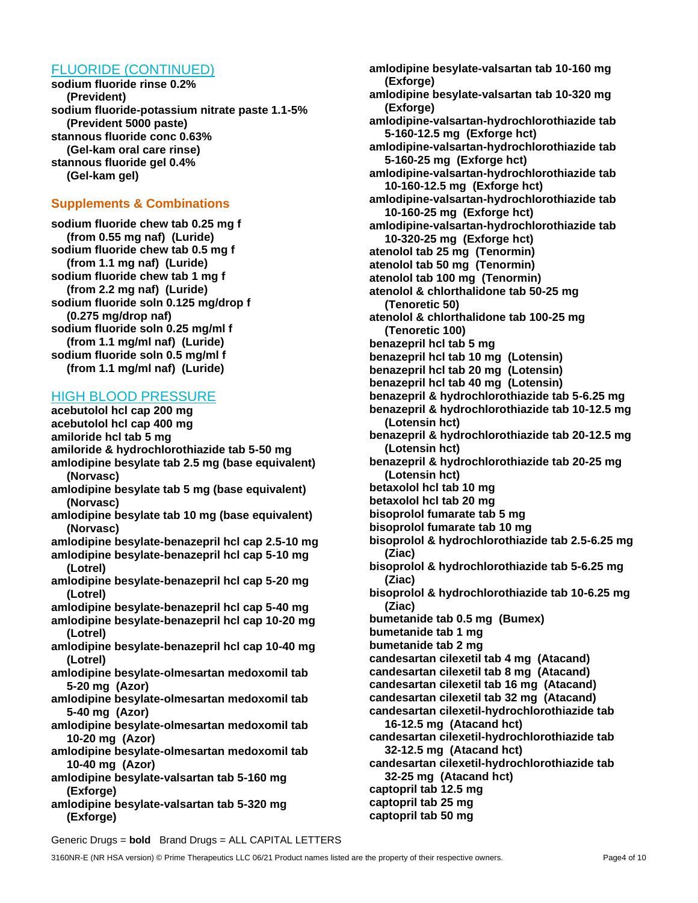## FLUORIDE (CONTINUED)

**sodium fluoride rinse 0.2% (Prevident) sodium fluoride-potassium nitrate paste 1.1-5% (Prevident 5000 paste) stannous fluoride conc 0.63% (Gel-kam oral care rinse) stannous fluoride gel 0.4% (Gel-kam gel)**

### **Supplements & Combinations**

**sodium fluoride chew tab 0.25 mg f (from 0.55 mg naf) (Luride) sodium fluoride chew tab 0.5 mg f (from 1.1 mg naf) (Luride) sodium fluoride chew tab 1 mg f (from 2.2 mg naf) (Luride) sodium fluoride soln 0.125 mg/drop f (0.275 mg/drop naf) sodium fluoride soln 0.25 mg/ml f (from 1.1 mg/ml naf) (Luride) sodium fluoride soln 0.5 mg/ml f (from 1.1 mg/ml naf) (Luride)**

### HIGH BLOOD PRESSURE

**acebutolol hcl cap 200 mg acebutolol hcl cap 400 mg amiloride hcl tab 5 mg amiloride & hydrochlorothiazide tab 5-50 mg amlodipine besylate tab 2.5 mg (base equivalent) (Norvasc) amlodipine besylate tab 5 mg (base equivalent) (Norvasc)**

- **amlodipine besylate tab 10 mg (base equivalent) (Norvasc)**
- **amlodipine besylate-benazepril hcl cap 2.5-10 mg**
- **amlodipine besylate-benazepril hcl cap 5-10 mg (Lotrel)**
- **amlodipine besylate-benazepril hcl cap 5-20 mg (Lotrel)**
- **amlodipine besylate-benazepril hcl cap 5-40 mg**
- **amlodipine besylate-benazepril hcl cap 10-20 mg (Lotrel)**
- **amlodipine besylate-benazepril hcl cap 10-40 mg (Lotrel)**
- **amlodipine besylate-olmesartan medoxomil tab 5-20 mg (Azor)**
- **amlodipine besylate-olmesartan medoxomil tab 5-40 mg (Azor)**
- **amlodipine besylate-olmesartan medoxomil tab 10-20 mg (Azor)**
- **amlodipine besylate-olmesartan medoxomil tab 10-40 mg (Azor)**
- **amlodipine besylate-valsartan tab 5-160 mg (Exforge)**
- **amlodipine besylate-valsartan tab 5-320 mg (Exforge)**

**amlodipine besylate-valsartan tab 10-160 mg (Exforge) amlodipine besylate-valsartan tab 10-320 mg (Exforge) amlodipine-valsartan-hydrochlorothiazide tab 5-160-12.5 mg (Exforge hct) amlodipine-valsartan-hydrochlorothiazide tab 5-160-25 mg (Exforge hct) amlodipine-valsartan-hydrochlorothiazide tab 10-160-12.5 mg (Exforge hct) amlodipine-valsartan-hydrochlorothiazide tab 10-160-25 mg (Exforge hct) amlodipine-valsartan-hydrochlorothiazide tab 10-320-25 mg (Exforge hct) atenolol tab 25 mg (Tenormin) atenolol tab 50 mg (Tenormin) atenolol tab 100 mg (Tenormin) atenolol & chlorthalidone tab 50-25 mg (Tenoretic 50) atenolol & chlorthalidone tab 100-25 mg (Tenoretic 100) benazepril hcl tab 5 mg benazepril hcl tab 10 mg (Lotensin) benazepril hcl tab 20 mg (Lotensin) benazepril hcl tab 40 mg (Lotensin) benazepril & hydrochlorothiazide tab 5-6.25 mg benazepril & hydrochlorothiazide tab 10-12.5 mg (Lotensin hct) benazepril & hydrochlorothiazide tab 20-12.5 mg (Lotensin hct) benazepril & hydrochlorothiazide tab 20-25 mg (Lotensin hct) betaxolol hcl tab 10 mg betaxolol hcl tab 20 mg bisoprolol fumarate tab 5 mg bisoprolol fumarate tab 10 mg bisoprolol & hydrochlorothiazide tab 2.5-6.25 mg (Ziac) bisoprolol & hydrochlorothiazide tab 5-6.25 mg (Ziac) bisoprolol & hydrochlorothiazide tab 10-6.25 mg (Ziac) bumetanide tab 0.5 mg (Bumex) bumetanide tab 1 mg bumetanide tab 2 mg candesartan cilexetil tab 4 mg (Atacand) candesartan cilexetil tab 8 mg (Atacand) candesartan cilexetil tab 16 mg (Atacand) candesartan cilexetil tab 32 mg (Atacand) candesartan cilexetil-hydrochlorothiazide tab 16-12.5 mg (Atacand hct) candesartan cilexetil-hydrochlorothiazide tab 32-12.5 mg (Atacand hct) candesartan cilexetil-hydrochlorothiazide tab 32-25 mg (Atacand hct) captopril tab 12.5 mg captopril tab 25 mg** 

**captopril tab 50 mg**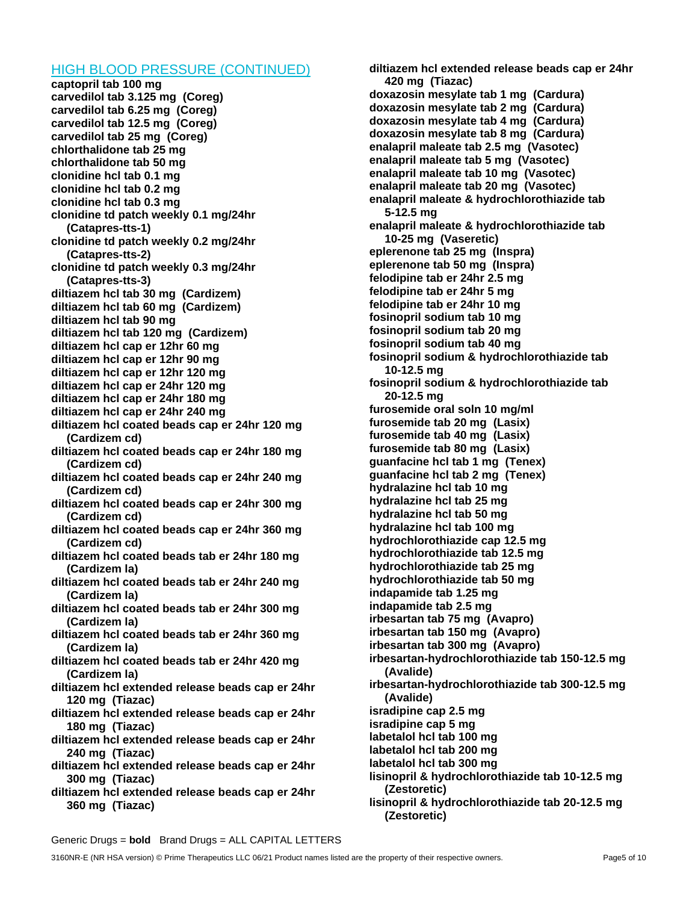#### HIGH BLOOD PRESSURE (CONTINUED)

**captopril tab 100 mg carvedilol tab 3.125 mg (Coreg) carvedilol tab 6.25 mg (Coreg) carvedilol tab 12.5 mg (Coreg) carvedilol tab 25 mg (Coreg) chlorthalidone tab 25 mg chlorthalidone tab 50 mg clonidine hcl tab 0.1 mg clonidine hcl tab 0.2 mg clonidine hcl tab 0.3 mg clonidine td patch weekly 0.1 mg/24hr (Catapres-tts-1) clonidine td patch weekly 0.2 mg/24hr (Catapres-tts-2) clonidine td patch weekly 0.3 mg/24hr (Catapres-tts-3) diltiazem hcl tab 30 mg (Cardizem) diltiazem hcl tab 60 mg (Cardizem) diltiazem hcl tab 90 mg diltiazem hcl tab 120 mg (Cardizem) diltiazem hcl cap er 12hr 60 mg diltiazem hcl cap er 12hr 90 mg diltiazem hcl cap er 12hr 120 mg diltiazem hcl cap er 24hr 120 mg diltiazem hcl cap er 24hr 180 mg diltiazem hcl cap er 24hr 240 mg diltiazem hcl coated beads cap er 24hr 120 mg (Cardizem cd) diltiazem hcl coated beads cap er 24hr 180 mg (Cardizem cd) diltiazem hcl coated beads cap er 24hr 240 mg (Cardizem cd) diltiazem hcl coated beads cap er 24hr 300 mg (Cardizem cd) diltiazem hcl coated beads cap er 24hr 360 mg (Cardizem cd) diltiazem hcl coated beads tab er 24hr 180 mg (Cardizem la) diltiazem hcl coated beads tab er 24hr 240 mg (Cardizem la) diltiazem hcl coated beads tab er 24hr 300 mg (Cardizem la) diltiazem hcl coated beads tab er 24hr 360 mg (Cardizem la) diltiazem hcl coated beads tab er 24hr 420 mg (Cardizem la) diltiazem hcl extended release beads cap er 24hr 120 mg (Tiazac) diltiazem hcl extended release beads cap er 24hr 180 mg (Tiazac) diltiazem hcl extended release beads cap er 24hr 240 mg (Tiazac) diltiazem hcl extended release beads cap er 24hr 300 mg (Tiazac) diltiazem hcl extended release beads cap er 24hr 360 mg (Tiazac)**

**diltiazem hcl extended release beads cap er 24hr 420 mg (Tiazac) doxazosin mesylate tab 1 mg (Cardura) doxazosin mesylate tab 2 mg (Cardura) doxazosin mesylate tab 4 mg (Cardura) doxazosin mesylate tab 8 mg (Cardura) enalapril maleate tab 2.5 mg (Vasotec) enalapril maleate tab 5 mg (Vasotec) enalapril maleate tab 10 mg (Vasotec) enalapril maleate tab 20 mg (Vasotec) enalapril maleate & hydrochlorothiazide tab 5-12.5 mg enalapril maleate & hydrochlorothiazide tab 10-25 mg (Vaseretic) eplerenone tab 25 mg (Inspra) eplerenone tab 50 mg (Inspra) felodipine tab er 24hr 2.5 mg felodipine tab er 24hr 5 mg felodipine tab er 24hr 10 mg fosinopril sodium tab 10 mg fosinopril sodium tab 20 mg fosinopril sodium tab 40 mg fosinopril sodium & hydrochlorothiazide tab 10-12.5 mg fosinopril sodium & hydrochlorothiazide tab 20-12.5 mg furosemide oral soln 10 mg/ml furosemide tab 20 mg (Lasix) furosemide tab 40 mg (Lasix) furosemide tab 80 mg (Lasix) guanfacine hcl tab 1 mg (Tenex) guanfacine hcl tab 2 mg (Tenex) hydralazine hcl tab 10 mg hydralazine hcl tab 25 mg hydralazine hcl tab 50 mg hydralazine hcl tab 100 mg hydrochlorothiazide cap 12.5 mg hydrochlorothiazide tab 12.5 mg hydrochlorothiazide tab 25 mg hydrochlorothiazide tab 50 mg indapamide tab 1.25 mg indapamide tab 2.5 mg irbesartan tab 75 mg (Avapro) irbesartan tab 150 mg (Avapro) irbesartan tab 300 mg (Avapro) irbesartan-hydrochlorothiazide tab 150-12.5 mg (Avalide) irbesartan-hydrochlorothiazide tab 300-12.5 mg (Avalide) isradipine cap 2.5 mg isradipine cap 5 mg labetalol hcl tab 100 mg labetalol hcl tab 200 mg labetalol hcl tab 300 mg lisinopril & hydrochlorothiazide tab 10-12.5 mg (Zestoretic) lisinopril & hydrochlorothiazide tab 20-12.5 mg (Zestoretic)**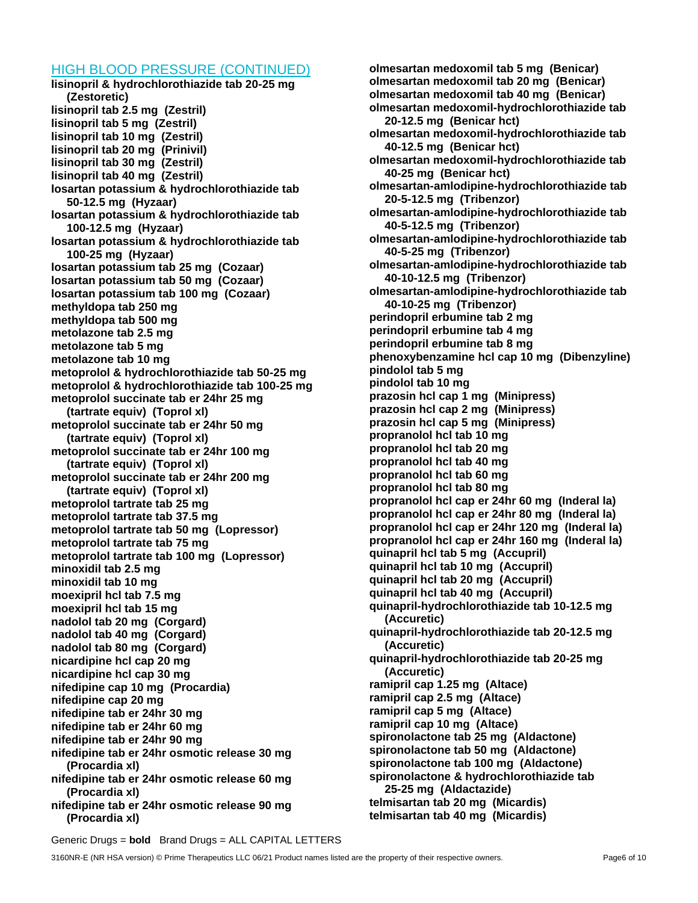#### HIGH BLOOD PRESSURE (CONTINUED)

**lisinopril & hydrochlorothiazide tab 20-25 mg (Zestoretic) lisinopril tab 2.5 mg (Zestril) lisinopril tab 5 mg (Zestril) lisinopril tab 10 mg (Zestril) lisinopril tab 20 mg (Prinivil) lisinopril tab 30 mg (Zestril) lisinopril tab 40 mg (Zestril) losartan potassium & hydrochlorothiazide tab 50-12.5 mg (Hyzaar) losartan potassium & hydrochlorothiazide tab 100-12.5 mg (Hyzaar) losartan potassium & hydrochlorothiazide tab 100-25 mg (Hyzaar) losartan potassium tab 25 mg (Cozaar) losartan potassium tab 50 mg (Cozaar) losartan potassium tab 100 mg (Cozaar) methyldopa tab 250 mg methyldopa tab 500 mg metolazone tab 2.5 mg metolazone tab 5 mg metolazone tab 10 mg metoprolol & hydrochlorothiazide tab 50-25 mg metoprolol & hydrochlorothiazide tab 100-25 mg metoprolol succinate tab er 24hr 25 mg (tartrate equiv) (Toprol xl) metoprolol succinate tab er 24hr 50 mg (tartrate equiv) (Toprol xl) metoprolol succinate tab er 24hr 100 mg (tartrate equiv) (Toprol xl) metoprolol succinate tab er 24hr 200 mg (tartrate equiv) (Toprol xl) metoprolol tartrate tab 25 mg metoprolol tartrate tab 37.5 mg metoprolol tartrate tab 50 mg (Lopressor) metoprolol tartrate tab 75 mg metoprolol tartrate tab 100 mg (Lopressor) minoxidil tab 2.5 mg minoxidil tab 10 mg moexipril hcl tab 7.5 mg moexipril hcl tab 15 mg nadolol tab 20 mg (Corgard) nadolol tab 40 mg (Corgard) nadolol tab 80 mg (Corgard) nicardipine hcl cap 20 mg nicardipine hcl cap 30 mg nifedipine cap 10 mg (Procardia) nifedipine cap 20 mg nifedipine tab er 24hr 30 mg nifedipine tab er 24hr 60 mg nifedipine tab er 24hr 90 mg nifedipine tab er 24hr osmotic release 30 mg (Procardia xl) nifedipine tab er 24hr osmotic release 60 mg (Procardia xl) nifedipine tab er 24hr osmotic release 90 mg (Procardia xl)**

**olmesartan medoxomil tab 5 mg (Benicar) olmesartan medoxomil tab 20 mg (Benicar) olmesartan medoxomil tab 40 mg (Benicar) olmesartan medoxomil-hydrochlorothiazide tab 20-12.5 mg (Benicar hct) olmesartan medoxomil-hydrochlorothiazide tab 40-12.5 mg (Benicar hct) olmesartan medoxomil-hydrochlorothiazide tab 40-25 mg (Benicar hct) olmesartan-amlodipine-hydrochlorothiazide tab 20-5-12.5 mg (Tribenzor) olmesartan-amlodipine-hydrochlorothiazide tab 40-5-12.5 mg (Tribenzor) olmesartan-amlodipine-hydrochlorothiazide tab 40-5-25 mg (Tribenzor) olmesartan-amlodipine-hydrochlorothiazide tab 40-10-12.5 mg (Tribenzor) olmesartan-amlodipine-hydrochlorothiazide tab 40-10-25 mg (Tribenzor) perindopril erbumine tab 2 mg perindopril erbumine tab 4 mg perindopril erbumine tab 8 mg phenoxybenzamine hcl cap 10 mg (Dibenzyline) pindolol tab 5 mg pindolol tab 10 mg prazosin hcl cap 1 mg (Minipress) prazosin hcl cap 2 mg (Minipress) prazosin hcl cap 5 mg (Minipress) propranolol hcl tab 10 mg propranolol hcl tab 20 mg propranolol hcl tab 40 mg propranolol hcl tab 60 mg propranolol hcl tab 80 mg propranolol hcl cap er 24hr 60 mg (Inderal la) propranolol hcl cap er 24hr 80 mg (Inderal la) propranolol hcl cap er 24hr 120 mg (Inderal la) propranolol hcl cap er 24hr 160 mg (Inderal la) quinapril hcl tab 5 mg (Accupril) quinapril hcl tab 10 mg (Accupril) quinapril hcl tab 20 mg (Accupril) quinapril hcl tab 40 mg (Accupril) quinapril-hydrochlorothiazide tab 10-12.5 mg (Accuretic) quinapril-hydrochlorothiazide tab 20-12.5 mg (Accuretic) quinapril-hydrochlorothiazide tab 20-25 mg (Accuretic) ramipril cap 1.25 mg (Altace) ramipril cap 2.5 mg (Altace) ramipril cap 5 mg (Altace) ramipril cap 10 mg (Altace) spironolactone tab 25 mg (Aldactone) spironolactone tab 50 mg (Aldactone) spironolactone tab 100 mg (Aldactone) spironolactone & hydrochlorothiazide tab 25-25 mg (Aldactazide) telmisartan tab 20 mg (Micardis) telmisartan tab 40 mg (Micardis)**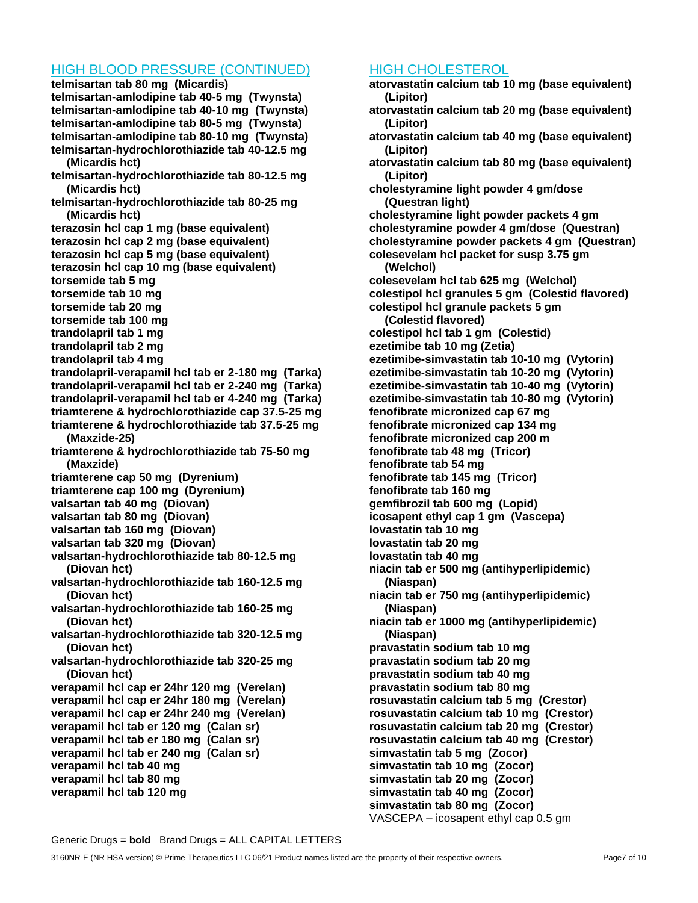### HIGH BLOOD PRESSURE (CONTINUED)

**telmisartan tab 80 mg (Micardis) telmisartan-amlodipine tab 40-5 mg (Twynsta) telmisartan-amlodipine tab 40-10 mg (Twynsta) telmisartan-amlodipine tab 80-5 mg (Twynsta) telmisartan-amlodipine tab 80-10 mg (Twynsta) telmisartan-hydrochlorothiazide tab 40-12.5 mg (Micardis hct) telmisartan-hydrochlorothiazide tab 80-12.5 mg (Micardis hct) telmisartan-hydrochlorothiazide tab 80-25 mg (Micardis hct) terazosin hcl cap 1 mg (base equivalent) terazosin hcl cap 2 mg (base equivalent) terazosin hcl cap 5 mg (base equivalent) terazosin hcl cap 10 mg (base equivalent) torsemide tab 5 mg torsemide tab 10 mg torsemide tab 20 mg torsemide tab 100 mg trandolapril tab 1 mg trandolapril tab 2 mg trandolapril tab 4 mg trandolapril-verapamil hcl tab er 2-180 mg (Tarka) trandolapril-verapamil hcl tab er 2-240 mg (Tarka) trandolapril-verapamil hcl tab er 4-240 mg (Tarka) triamterene & hydrochlorothiazide cap 37.5-25 mg triamterene & hydrochlorothiazide tab 37.5-25 mg (Maxzide-25) triamterene & hydrochlorothiazide tab 75-50 mg (Maxzide) triamterene cap 50 mg (Dyrenium) triamterene cap 100 mg (Dyrenium) valsartan tab 40 mg (Diovan) valsartan tab 80 mg (Diovan) valsartan tab 160 mg (Diovan) valsartan tab 320 mg (Diovan) valsartan-hydrochlorothiazide tab 80-12.5 mg (Diovan hct) valsartan-hydrochlorothiazide tab 160-12.5 mg (Diovan hct) valsartan-hydrochlorothiazide tab 160-25 mg (Diovan hct) valsartan-hydrochlorothiazide tab 320-12.5 mg (Diovan hct) valsartan-hydrochlorothiazide tab 320-25 mg (Diovan hct) verapamil hcl cap er 24hr 120 mg (Verelan) verapamil hcl cap er 24hr 180 mg (Verelan) verapamil hcl cap er 24hr 240 mg (Verelan) verapamil hcl tab er 120 mg (Calan sr) verapamil hcl tab er 180 mg (Calan sr) verapamil hcl tab er 240 mg (Calan sr) verapamil hcl tab 40 mg verapamil hcl tab 80 mg verapamil hcl tab 120 mg**

## HIGH CHOLESTEROL

**atorvastatin calcium tab 10 mg (base equivalent) (Lipitor) atorvastatin calcium tab 20 mg (base equivalent) (Lipitor) atorvastatin calcium tab 40 mg (base equivalent) (Lipitor) atorvastatin calcium tab 80 mg (base equivalent) (Lipitor) cholestyramine light powder 4 gm/dose (Questran light) cholestyramine light powder packets 4 gm cholestyramine powder 4 gm/dose (Questran) cholestyramine powder packets 4 gm (Questran) colesevelam hcl packet for susp 3.75 gm (Welchol) colesevelam hcl tab 625 mg (Welchol) colestipol hcl granules 5 gm (Colestid flavored) colestipol hcl granule packets 5 gm (Colestid flavored) colestipol hcl tab 1 gm (Colestid) ezetimibe tab 10 mg (Zetia) ezetimibe-simvastatin tab 10-10 mg (Vytorin) ezetimibe-simvastatin tab 10-20 mg (Vytorin) ezetimibe-simvastatin tab 10-40 mg (Vytorin) ezetimibe-simvastatin tab 10-80 mg (Vytorin) fenofibrate micronized cap 67 mg fenofibrate micronized cap 134 mg fenofibrate micronized cap 200 m fenofibrate tab 48 mg (Tricor) fenofibrate tab 54 mg fenofibrate tab 145 mg (Tricor) fenofibrate tab 160 mg gemfibrozil tab 600 mg (Lopid) icosapent ethyl cap 1 gm (Vascepa) lovastatin tab 10 mg lovastatin tab 20 mg lovastatin tab 40 mg niacin tab er 500 mg (antihyperlipidemic) (Niaspan) niacin tab er 750 mg (antihyperlipidemic) (Niaspan) niacin tab er 1000 mg (antihyperlipidemic) (Niaspan) pravastatin sodium tab 10 mg pravastatin sodium tab 20 mg pravastatin sodium tab 40 mg pravastatin sodium tab 80 mg rosuvastatin calcium tab 5 mg (Crestor) rosuvastatin calcium tab 10 mg (Crestor) rosuvastatin calcium tab 20 mg (Crestor) rosuvastatin calcium tab 40 mg (Crestor) simvastatin tab 5 mg (Zocor) simvastatin tab 10 mg (Zocor) simvastatin tab 20 mg (Zocor) simvastatin tab 40 mg (Zocor) simvastatin tab 80 mg (Zocor)** VASCEPA – icosapent ethyl cap 0.5 gm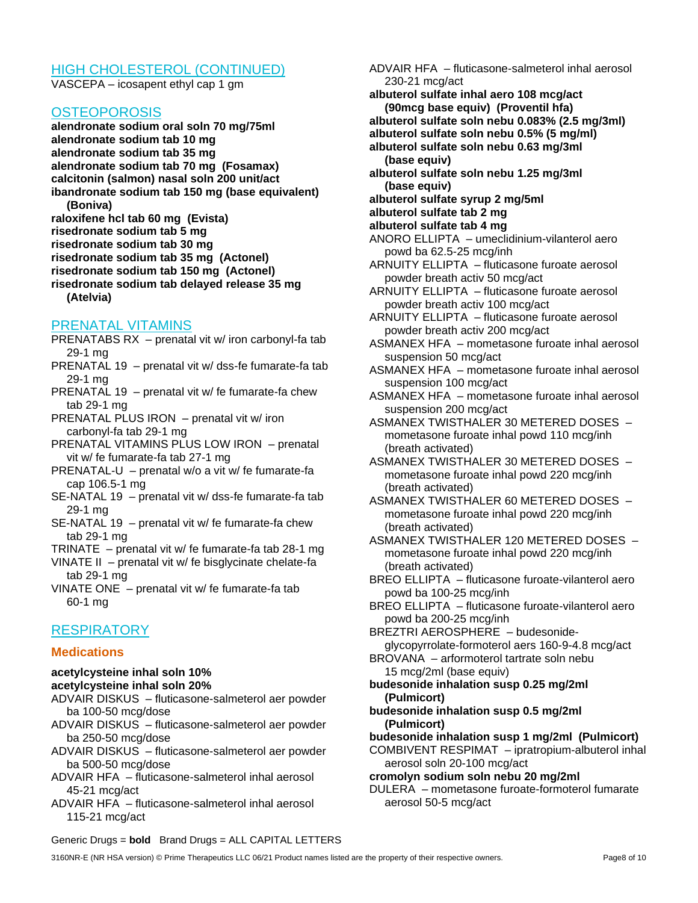### HIGH CHOLESTEROL (CONTINUED)

VASCEPA – icosapent ethyl cap 1 gm

#### **OSTEOPOROSIS**

**alendronate sodium oral soln 70 mg/75ml alendronate sodium tab 10 mg alendronate sodium tab 35 mg alendronate sodium tab 70 mg (Fosamax) calcitonin (salmon) nasal soln 200 unit/act ibandronate sodium tab 150 mg (base equivalent) (Boniva) raloxifene hcl tab 60 mg (Evista) risedronate sodium tab 5 mg risedronate sodium tab 30 mg risedronate sodium tab 35 mg (Actonel) risedronate sodium tab 150 mg (Actonel)**

**risedronate sodium tab delayed release 35 mg (Atelvia)**

#### PRENATAL VITAMINS

- PRENATABS RX prenatal vit w/ iron carbonyl-fa tab 29-1 mg
- PRENATAL 19 prenatal vit w/ dss-fe fumarate-fa tab 29-1 mg
- PRENATAL 19 prenatal vit w/ fe fumarate-fa chew tab 29-1 mg
- PRENATAL PLUS IRON prenatal vit w/ iron carbonyl-fa tab 29-1 mg
- PRENATAL VITAMINS PLUS LOW IRON prenatal vit w/ fe fumarate-fa tab 27-1 mg
- PRENATAL-U prenatal w/o a vit w/ fe fumarate-fa cap 106.5-1 mg
- SE-NATAL 19 prenatal vit w/ dss-fe fumarate-fa tab 29-1 mg
- SE-NATAL 19 prenatal vit w/ fe fumarate-fa chew tab 29-1 mg
- TRINATE prenatal vit w/ fe fumarate-fa tab 28-1 mg
- VINATE II prenatal vit w/ fe bisglycinate chelate-fa tab 29-1 mg
- VINATE ONE prenatal vit w/ fe fumarate-fa tab 60-1 mg

### **RESPIRATORY**

#### **Medications**

**acetylcysteine inhal soln 10% acetylcysteine inhal soln 20%** 

- ADVAIR DISKUS fluticasone-salmeterol aer powder ba 100-50 mcg/dose
- ADVAIR DISKUS fluticasone-salmeterol aer powder ba 250-50 mcg/dose
- ADVAIR DISKUS fluticasone-salmeterol aer powder ba 500-50 mcg/dose
- ADVAIR HFA fluticasone-salmeterol inhal aerosol 45-21 mcg/act
- ADVAIR HFA fluticasone-salmeterol inhal aerosol 115-21 mcg/act

ADVAIR HFA – fluticasone-salmeterol inhal aerosol 230-21 mcg/act **albuterol sulfate inhal aero 108 mcg/act (90mcg base equiv) (Proventil hfa) albuterol sulfate soln nebu 0.083% (2.5 mg/3ml) albuterol sulfate soln nebu 0.5% (5 mg/ml) albuterol sulfate soln nebu 0.63 mg/3ml (base equiv) albuterol sulfate soln nebu 1.25 mg/3ml (base equiv) albuterol sulfate syrup 2 mg/5ml albuterol sulfate tab 2 mg albuterol sulfate tab 4 mg**  ANORO ELLIPTA – umeclidinium-vilanterol aero powd ba 62.5-25 mcg/inh ARNUITY ELLIPTA – fluticasone furoate aerosol powder breath activ 50 mcg/act ARNUITY ELLIPTA – fluticasone furoate aerosol powder breath activ 100 mcg/act ARNUITY ELLIPTA – fluticasone furoate aerosol powder breath activ 200 mcg/act ASMANEX HFA – mometasone furoate inhal aerosol suspension 50 mcg/act ASMANEX HFA – mometasone furoate inhal aerosol suspension 100 mcg/act ASMANEX HFA – mometasone furoate inhal aerosol suspension 200 mcg/act

ASMANEX TWISTHALER 30 METERED DOSES – mometasone furoate inhal powd 110 mcg/inh (breath activated)

ASMANEX TWISTHALER 30 METERED DOSES – mometasone furoate inhal powd 220 mcg/inh (breath activated)

ASMANEX TWISTHALER 60 METERED DOSES – mometasone furoate inhal powd 220 mcg/inh (breath activated)

ASMANEX TWISTHALER 120 METERED DOSES – mometasone furoate inhal powd 220 mcg/inh (breath activated)

- BREO ELLIPTA fluticasone furoate-vilanterol aero powd ba 100-25 mcg/inh
- BREO ELLIPTA fluticasone furoate-vilanterol aero powd ba 200-25 mcg/inh

BREZTRI AEROSPHERE – budesonideglycopyrrolate-formoterol aers 160-9-4.8 mcg/act BROVANA – arformoterol tartrate soln nebu

- 15 mcg/2ml (base equiv)
- **budesonide inhalation susp 0.25 mg/2ml (Pulmicort)**
- **budesonide inhalation susp 0.5 mg/2ml (Pulmicort)**

**budesonide inhalation susp 1 mg/2ml (Pulmicort)**

- COMBIVENT RESPIMAT ipratropium-albuterol inhal aerosol soln 20-100 mcg/act
- **cromolyn sodium soln nebu 20 mg/2ml**
- DULERA mometasone furoate-formoterol fumarate aerosol 50-5 mcg/act